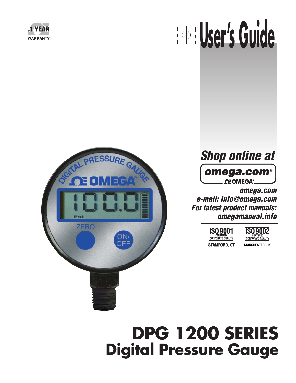







**omega.com e-mail: info@omega.com For latest product manuals: omegamanual.info**



# **DPG 1200 SERIES Digital Pressure Gauge**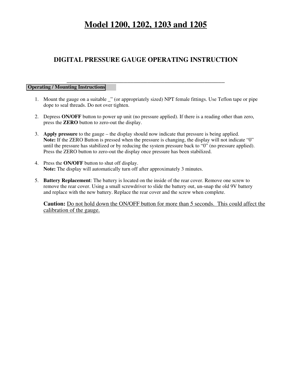# **Model 1200, 1202, 1203 and 1205**

# **DIGITAL PRESSURE GAUGE OPERATING INSTRUCTION**

**\_\_\_\_\_\_\_\_\_\_\_\_\_\_\_\_\_\_\_\_\_\_\_\_\_\_\_\_\_\_\_\_\_\_\_\_\_\_\_\_\_\_\_\_\_\_\_**

#### **Operating / Mounting Instructions**

- 1. Mount the gauge on a suitable \_" (or appropriately sized) NPT female fittings. Use Teflon tape or pipe dope to seal threads. Do not over tighten.
- 2. Depress **ON/OFF** button to power up unit (no pressure applied). If there is a reading other than zero, press the **ZERO** button to zero-out the display.
- 3. **Apply pressure** to the gauge the display should now indicate that pressure is being applied. **Note:** If the ZERO Button is pressed when the pressure is changing, the display will not indicate "0" until the pressure has stabilized or by reducing the system pressure back to "0" (no pressure applied). Press the ZERO button to zero-out the display once pressure has been stabilized.
- 4. Press the **ON/OFF** button to shut off display. **Note:** The display will automatically turn off after approximately 3 minutes.
- 5. **Battery Replacement**: The battery is located on the inside of the rear cover. Remove one screw to remove the rear cover. Using a small screwdriver to slide the battery out, un-snap the old 9V battery and replace with the new battery. Replace the rear cover and the screw when complete.

**Caution:** Do not hold down the ON/OFF button for more than 5 seconds. This could affect the calibration of the gauge.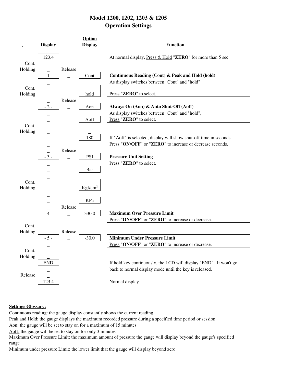# **Model 1200, 1202, 1203 & 1205 Operation Settings**



#### **Settings Glossary:**

Continuous reading: the gauge display constantly shows the current reading

Peak and Hold: the gauge displays the maximum recorded pressure during a specified time period or session

Aon: the gauge will be set to stay on for a maximum of 15 minutes

Aoff: the gauge will be set to stay on for only 3 minutes

Maximum Over Pressure Limit: the maximum amount of pressure the gauge will display beyond the gauge's specified range

Minimum under pressure Limit: the lower limit that the gauge will display beyond zero